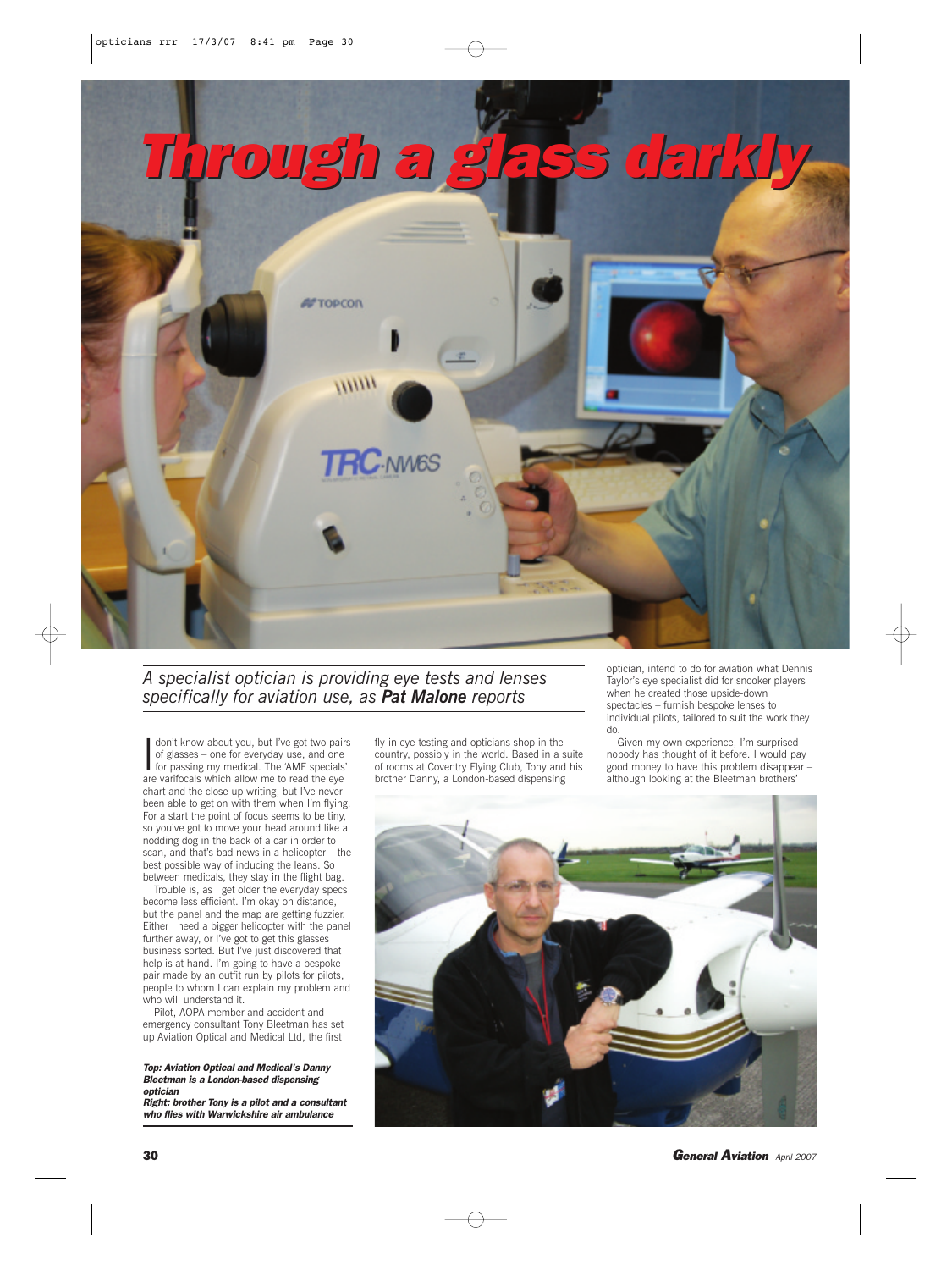

## *A specialist optician is providing eye tests and lenses specifically for aviation use, as Pat Malone reports*

I don't know about you, but I've got two pairs of glasses – one for everyday use, and one for passing my medical. The 'AME specials' are varifocals which allow me to read the eye chart and the close-up writing, but I've never been able to get on with them when I'm flying. For a start the point of focus seems to be tiny, so you've got to move your head around like a nodding dog in the back of a car in order to scan, and that's bad news in a helicopter – the best possible way of inducing the leans. So between medicals, they stay in the flight bag.

Trouble is, as I get older the everyday specs become less efficient. I'm okay on distance, but the panel and the map are getting fuzzier. Either I need a bigger helicopter with the panel further away, or I've got to get this glasses business sorted. But I've just discovered that help is at hand. I'm going to have a bespoke pair made by an outfit run by pilots for pilots, people to whom I can explain my problem and who will understand it.

Pilot, AOPA member and accident and emergency consultant Tony Bleetman has set up Aviation Optical and Medical Ltd, the first

## *Top: Aviation Optical and Medical's Danny Bleetman is a London-based dispensing optician*

*Right: brother Tony is a pilot and a consultant who flies with Warwickshire air ambulance*

fly-in eye-testing and opticians shop in the country, possibly in the world. Based in a suite of rooms at Coventry Flying Club, Tony and his brother Danny, a London-based dispensing

optician, intend to do for aviation what Dennis Taylor's eye specialist did for snooker players when he created those upside-down spectacles – furnish bespoke lenses to individual pilots, tailored to suit the work they do.

Given my own experience, I'm surprised nobody has thought of it before. I would pay good money to have this problem disappear – although looking at the Bleetman brothers'



**30 General Aviation** *April 2007* **General Aviation** *April 2007*